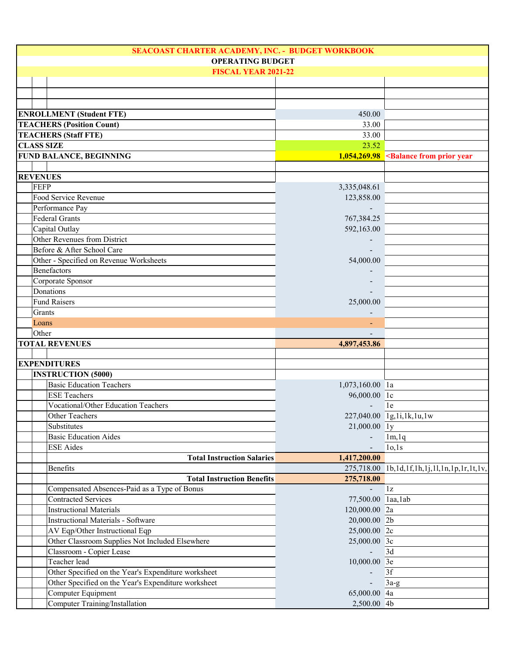| SEACOAST CHARTER ACADEMY, INC. - BUDGET WORKBOOK |                         |                                                      |                             |                                                                    |
|--------------------------------------------------|-------------------------|------------------------------------------------------|-----------------------------|--------------------------------------------------------------------|
|                                                  | <b>OPERATING BUDGET</b> |                                                      |                             |                                                                    |
|                                                  |                         | <b>FISCAL YEAR 2021-22</b>                           |                             |                                                                    |
|                                                  |                         |                                                      |                             |                                                                    |
|                                                  |                         |                                                      |                             |                                                                    |
|                                                  |                         |                                                      |                             |                                                                    |
|                                                  |                         | <b>ENROLLMENT (Student FTE)</b>                      | 450.00                      |                                                                    |
|                                                  |                         | <b>TEACHERS (Position Count)</b>                     | 33.00                       |                                                                    |
|                                                  |                         | <b>TEACHERS (Staff FTE)</b>                          | 33.00                       |                                                                    |
|                                                  |                         | <b>CLASS SIZE</b>                                    | 23.52                       |                                                                    |
|                                                  |                         | <b>FUND BALANCE, BEGINNING</b>                       |                             | $1,054,269.98$ <balance from="" prior="" td="" year<=""></balance> |
|                                                  |                         |                                                      |                             |                                                                    |
|                                                  |                         | <b>REVENUES</b>                                      |                             |                                                                    |
|                                                  | <b>FEFP</b>             |                                                      | 3,335,048.61                |                                                                    |
|                                                  |                         | Food Service Revenue                                 | 123,858.00                  |                                                                    |
|                                                  |                         | Performance Pay                                      |                             |                                                                    |
|                                                  |                         | <b>Federal Grants</b>                                | 767,384.25                  |                                                                    |
|                                                  |                         | Capital Outlay                                       | 592,163.00                  |                                                                    |
|                                                  |                         | Other Revenues from District                         |                             |                                                                    |
|                                                  |                         | Before & After School Care                           |                             |                                                                    |
|                                                  |                         | Other - Specified on Revenue Worksheets              | 54,000.00                   |                                                                    |
|                                                  |                         | <b>Benefactors</b>                                   |                             |                                                                    |
|                                                  |                         | Corporate Sponsor                                    |                             |                                                                    |
|                                                  |                         | Donations                                            |                             |                                                                    |
|                                                  |                         | <b>Fund Raisers</b>                                  | 25,000.00                   |                                                                    |
|                                                  | Grants                  |                                                      |                             |                                                                    |
|                                                  | Loans                   |                                                      |                             |                                                                    |
|                                                  | Other                   |                                                      |                             |                                                                    |
|                                                  |                         |                                                      |                             |                                                                    |
|                                                  |                         |                                                      |                             |                                                                    |
|                                                  |                         | <b>TOTAL REVENUES</b>                                | 4,897,453.86                |                                                                    |
|                                                  |                         |                                                      |                             |                                                                    |
|                                                  |                         | <b>EXPENDITURES</b>                                  |                             |                                                                    |
|                                                  |                         | <b>INSTRUCTION (5000)</b>                            |                             |                                                                    |
|                                                  |                         | <b>Basic Education Teachers</b>                      | 1,073,160.00 la             |                                                                    |
|                                                  |                         | <b>ESE Teachers</b>                                  | 96,000.00 lc                |                                                                    |
|                                                  |                         | <b>Vocational/Other Education Teachers</b>           |                             | 1e                                                                 |
|                                                  |                         | Other Teachers                                       |                             | 227,040.00 $\boxed{1g,1i,1k,1u,1w}$                                |
|                                                  |                         | Substitutes                                          | 21,000.00 ly                |                                                                    |
|                                                  |                         | <b>Basic Education Aides</b>                         |                             | 1m, 1q                                                             |
|                                                  |                         | <b>ESE</b> Aides                                     |                             | 10,1s                                                              |
|                                                  |                         | <b>Total Instruction Salaries</b>                    | 1,417,200.00                |                                                                    |
|                                                  |                         | Benefits                                             |                             | 275,718.00 1b,1d,1f,1h,1j,1l,1n,1p,1r,1t,1v,                       |
|                                                  |                         | <b>Total Instruction Benefits</b>                    | 275,718.00                  |                                                                    |
|                                                  |                         | Compensated Absences-Paid as a Type of Bonus         |                             | 1z                                                                 |
|                                                  |                         | <b>Contracted Services</b>                           | 77,500.00 laa, lab          |                                                                    |
|                                                  |                         | <b>Instructional Materials</b>                       | 120,000.00 2a               |                                                                    |
|                                                  |                         | <b>Instructional Materials - Software</b>            | 20,000.00 2b                |                                                                    |
|                                                  |                         | AV Eqp/Other Instructional Eqp                       | 25,000.00 2c                |                                                                    |
|                                                  |                         | Other Classroom Supplies Not Included Elsewhere      | 25,000.00 3c                |                                                                    |
|                                                  |                         | Classroom - Copier Lease                             |                             | 3d                                                                 |
|                                                  |                         | Teacher lead                                         | 10,000.00 3e                |                                                                    |
|                                                  |                         | Other Specified on the Year's Expenditure worksheet  |                             | 3f                                                                 |
|                                                  |                         | Other Specified on the Year's Expenditure worksheet  |                             | $3a-g$                                                             |
|                                                  |                         | Computer Equipment<br>Computer Training/Installation | 65,000.00 4a<br>2,500.00 4b |                                                                    |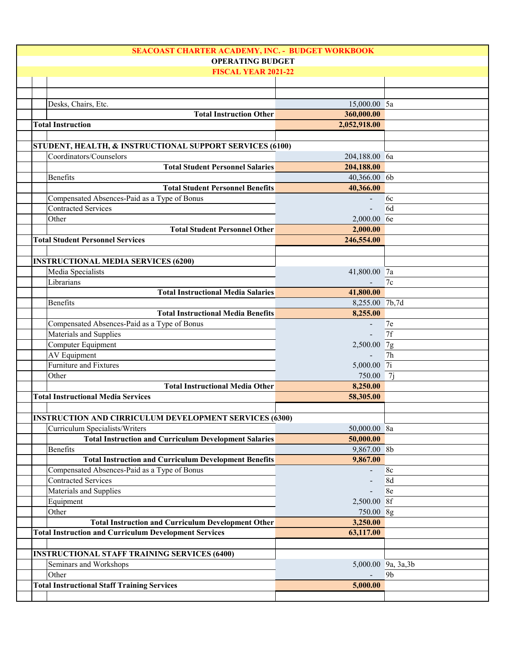| SEACOAST CHARTER ACADEMY, INC. - BUDGET WORKBOOK              |                          |                     |  |
|---------------------------------------------------------------|--------------------------|---------------------|--|
| <b>OPERATING BUDGET</b>                                       |                          |                     |  |
| <b>FISCAL YEAR 2021-22</b>                                    |                          |                     |  |
|                                                               |                          |                     |  |
|                                                               |                          |                     |  |
| Desks, Chairs, Etc.                                           | 15,000.00 5a             |                     |  |
| <b>Total Instruction Other</b>                                | 360,000.00               |                     |  |
| <b>Total Instruction</b>                                      | 2,052,918.00             |                     |  |
|                                                               |                          |                     |  |
| STUDENT, HEALTH, & INSTRUCTIONAL SUPPORT SERVICES (6100)      |                          |                     |  |
| Coordinators/Counselors                                       | 204,188.00 6a            |                     |  |
| <b>Total Student Personnel Salaries</b>                       | 204,188.00               |                     |  |
| Benefits                                                      | 40,366.00 6b             |                     |  |
| <b>Total Student Personnel Benefits</b>                       | 40,366.00                |                     |  |
| Compensated Absences-Paid as a Type of Bonus                  |                          | 6c                  |  |
| <b>Contracted Services</b>                                    |                          | 6d                  |  |
| Other                                                         | 2,000.00 6e              |                     |  |
| <b>Total Student Personnel Other</b>                          | 2,000.00                 |                     |  |
| <b>Total Student Personnel Services</b>                       |                          |                     |  |
|                                                               | 246,554.00               |                     |  |
|                                                               |                          |                     |  |
| <b>INSTRUCTIONAL MEDIA SERVICES (6200)</b>                    |                          |                     |  |
| Media Specialists                                             | 41,800.00 7a             |                     |  |
| Librarians                                                    |                          | 7c                  |  |
| <b>Total Instructional Media Salaries</b>                     | 41,800.00                |                     |  |
| Benefits                                                      | 8,255.00 7b,7d           |                     |  |
| <b>Total Instructional Media Benefits</b>                     | 8,255.00                 |                     |  |
| Compensated Absences-Paid as a Type of Bonus                  | $\blacksquare$           | 7e                  |  |
| Materials and Supplies                                        |                          | 7f                  |  |
| Computer Equipment                                            | $2,500.00$ 7g            |                     |  |
| <b>AV Equipment</b>                                           |                          | 7 <sub>h</sub>      |  |
| Furniture and Fixtures                                        | 5,000.00 7i              |                     |  |
| Other                                                         | 750.00 7j                |                     |  |
| <b>Total Instructional Media Other</b>                        | 8,250.00                 |                     |  |
| <b>Total Instructional Media Services</b>                     | 58,305.00                |                     |  |
|                                                               |                          |                     |  |
| <b>INSTRUCTION AND CIRRICULUM DEVELOPMENT SERVICES (6300)</b> |                          |                     |  |
| Curriculum Specialists/Writers                                | 50,000.00 8a             |                     |  |
| <b>Total Instruction and Curriculum Development Salaries</b>  | 50,000.00                |                     |  |
| Benefits                                                      | 9,867.00 8b              |                     |  |
| <b>Total Instruction and Curriculum Development Benefits</b>  | 9,867.00                 |                     |  |
| Compensated Absences-Paid as a Type of Bonus                  |                          | 8c                  |  |
| <b>Contracted Services</b>                                    | $\overline{\phantom{a}}$ | 8d                  |  |
| Materials and Supplies                                        |                          | 8e                  |  |
| Equipment                                                     | 2,500.00 8f              |                     |  |
| Other                                                         | 750.00 8g                |                     |  |
| <b>Total Instruction and Curriculum Development Other</b>     | 3,250.00                 |                     |  |
| <b>Total Instruction and Curriculum Development Services</b>  | 63,117.00                |                     |  |
|                                                               |                          |                     |  |
| <b>INSTRUCTIONAL STAFF TRAINING SERVICES (6400)</b>           |                          |                     |  |
| Seminars and Workshops                                        |                          | 5,000.00 9a, 3a, 3b |  |
| Other                                                         |                          | 9 <sub>b</sub>      |  |
| <b>Total Instructional Staff Training Services</b>            | 5,000.00                 |                     |  |
|                                                               |                          |                     |  |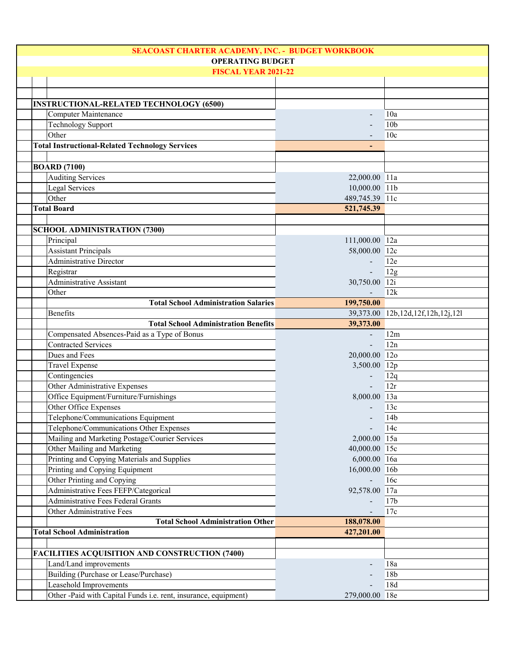| <b>OPERATING BUDGET</b><br><b>FISCAL YEAR 2021-22</b><br><b>INSTRUCTIONAL-RELATED TECHNOLOGY (6500)</b><br>Computer Maintenance<br>10a<br><b>Technology Support</b><br>10 <sub>b</sub><br>Other<br>10 <sub>c</sub><br><b>Total Instructional-Related Technology Services</b><br><b>BOARD</b> (7100)<br>Auditing Services<br>22,000.00 11a<br><b>Legal Services</b><br>10,000.00 11b<br>Other<br>489,745.39 11c<br><b>Total Board</b><br>521,745.39<br><b>SCHOOL ADMINISTRATION (7300)</b><br>Principal<br>111,000.00 12a<br><b>Assistant Principals</b><br>58,000.00 12c<br><b>Administrative Director</b><br>12e<br>$\blacksquare$<br>12g<br>Registrar<br>$\blacksquare$<br><b>Administrative Assistant</b><br>30,750.00 12i<br>Other<br>12k<br><b>Total School Administration Salaries</b><br>199,750.00<br><b>Benefits</b><br>39,373.00 12b,12d,12f,12h,12j,12l<br><b>Total School Administration Benefits</b><br>39,373.00<br>Compensated Absences-Paid as a Type of Bonus<br>12m<br>$\blacksquare$<br><b>Contracted Services</b><br>12n<br>20,000.00 12o<br>Dues and Fees<br><b>Travel Expense</b><br>3,500.00 12p<br>Contingencies<br>12q<br>$\overline{\phantom{a}}$<br>Other Administrative Expenses<br>12r<br>Office Equipment/Furniture/Furnishings<br>8,000.00 13a<br>Other Office Expenses<br>13c<br>Telephone/Communications Equipment<br>14 <sub>b</sub><br>Telephone/Communications Other Expenses<br>14c<br>Mailing and Marketing Postage/Courier Services<br>2,000.00 15a<br>Other Mailing and Marketing<br>40,000.00 15c<br>Printing and Copying Materials and Supplies<br>6,000.00 16a<br>Printing and Copying Equipment<br>16,000.00 16b<br>Other Printing and Copying<br>16c<br>Administrative Fees FEFP/Categorical<br>92,578.00 17a<br><b>Administrative Fees Federal Grants</b><br>17 <sub>b</sub><br>Other Administrative Fees<br>17c<br><b>Total School Administration Other</b><br>188,078.00<br><b>Total School Administration</b><br>427,201.00<br><b>FACILITIES ACQUISITION AND CONSTRUCTION (7400)</b><br>Land/Land improvements<br>18a<br>Building (Purchase or Lease/Purchase)<br>18 <sub>b</sub><br>Leasehold Improvements<br>18d<br>Other -Paid with Capital Funds i.e. rent, insurance, equipment)<br>279,000.00 18e | SEACOAST CHARTER ACADEMY, INC. - BUDGET WORKBOOK |  |  |  |
|----------------------------------------------------------------------------------------------------------------------------------------------------------------------------------------------------------------------------------------------------------------------------------------------------------------------------------------------------------------------------------------------------------------------------------------------------------------------------------------------------------------------------------------------------------------------------------------------------------------------------------------------------------------------------------------------------------------------------------------------------------------------------------------------------------------------------------------------------------------------------------------------------------------------------------------------------------------------------------------------------------------------------------------------------------------------------------------------------------------------------------------------------------------------------------------------------------------------------------------------------------------------------------------------------------------------------------------------------------------------------------------------------------------------------------------------------------------------------------------------------------------------------------------------------------------------------------------------------------------------------------------------------------------------------------------------------------------------------------------------------------------------------------------------------------------------------------------------------------------------------------------------------------------------------------------------------------------------------------------------------------------------------------------------------------------------------------------------------------------------------------------------------------------------------------------------------------------------------------------------------------|--------------------------------------------------|--|--|--|
|                                                                                                                                                                                                                                                                                                                                                                                                                                                                                                                                                                                                                                                                                                                                                                                                                                                                                                                                                                                                                                                                                                                                                                                                                                                                                                                                                                                                                                                                                                                                                                                                                                                                                                                                                                                                                                                                                                                                                                                                                                                                                                                                                                                                                                                          |                                                  |  |  |  |
|                                                                                                                                                                                                                                                                                                                                                                                                                                                                                                                                                                                                                                                                                                                                                                                                                                                                                                                                                                                                                                                                                                                                                                                                                                                                                                                                                                                                                                                                                                                                                                                                                                                                                                                                                                                                                                                                                                                                                                                                                                                                                                                                                                                                                                                          |                                                  |  |  |  |
|                                                                                                                                                                                                                                                                                                                                                                                                                                                                                                                                                                                                                                                                                                                                                                                                                                                                                                                                                                                                                                                                                                                                                                                                                                                                                                                                                                                                                                                                                                                                                                                                                                                                                                                                                                                                                                                                                                                                                                                                                                                                                                                                                                                                                                                          |                                                  |  |  |  |
|                                                                                                                                                                                                                                                                                                                                                                                                                                                                                                                                                                                                                                                                                                                                                                                                                                                                                                                                                                                                                                                                                                                                                                                                                                                                                                                                                                                                                                                                                                                                                                                                                                                                                                                                                                                                                                                                                                                                                                                                                                                                                                                                                                                                                                                          |                                                  |  |  |  |
|                                                                                                                                                                                                                                                                                                                                                                                                                                                                                                                                                                                                                                                                                                                                                                                                                                                                                                                                                                                                                                                                                                                                                                                                                                                                                                                                                                                                                                                                                                                                                                                                                                                                                                                                                                                                                                                                                                                                                                                                                                                                                                                                                                                                                                                          |                                                  |  |  |  |
|                                                                                                                                                                                                                                                                                                                                                                                                                                                                                                                                                                                                                                                                                                                                                                                                                                                                                                                                                                                                                                                                                                                                                                                                                                                                                                                                                                                                                                                                                                                                                                                                                                                                                                                                                                                                                                                                                                                                                                                                                                                                                                                                                                                                                                                          |                                                  |  |  |  |
|                                                                                                                                                                                                                                                                                                                                                                                                                                                                                                                                                                                                                                                                                                                                                                                                                                                                                                                                                                                                                                                                                                                                                                                                                                                                                                                                                                                                                                                                                                                                                                                                                                                                                                                                                                                                                                                                                                                                                                                                                                                                                                                                                                                                                                                          |                                                  |  |  |  |
|                                                                                                                                                                                                                                                                                                                                                                                                                                                                                                                                                                                                                                                                                                                                                                                                                                                                                                                                                                                                                                                                                                                                                                                                                                                                                                                                                                                                                                                                                                                                                                                                                                                                                                                                                                                                                                                                                                                                                                                                                                                                                                                                                                                                                                                          |                                                  |  |  |  |
|                                                                                                                                                                                                                                                                                                                                                                                                                                                                                                                                                                                                                                                                                                                                                                                                                                                                                                                                                                                                                                                                                                                                                                                                                                                                                                                                                                                                                                                                                                                                                                                                                                                                                                                                                                                                                                                                                                                                                                                                                                                                                                                                                                                                                                                          |                                                  |  |  |  |
|                                                                                                                                                                                                                                                                                                                                                                                                                                                                                                                                                                                                                                                                                                                                                                                                                                                                                                                                                                                                                                                                                                                                                                                                                                                                                                                                                                                                                                                                                                                                                                                                                                                                                                                                                                                                                                                                                                                                                                                                                                                                                                                                                                                                                                                          |                                                  |  |  |  |
|                                                                                                                                                                                                                                                                                                                                                                                                                                                                                                                                                                                                                                                                                                                                                                                                                                                                                                                                                                                                                                                                                                                                                                                                                                                                                                                                                                                                                                                                                                                                                                                                                                                                                                                                                                                                                                                                                                                                                                                                                                                                                                                                                                                                                                                          |                                                  |  |  |  |
|                                                                                                                                                                                                                                                                                                                                                                                                                                                                                                                                                                                                                                                                                                                                                                                                                                                                                                                                                                                                                                                                                                                                                                                                                                                                                                                                                                                                                                                                                                                                                                                                                                                                                                                                                                                                                                                                                                                                                                                                                                                                                                                                                                                                                                                          |                                                  |  |  |  |
|                                                                                                                                                                                                                                                                                                                                                                                                                                                                                                                                                                                                                                                                                                                                                                                                                                                                                                                                                                                                                                                                                                                                                                                                                                                                                                                                                                                                                                                                                                                                                                                                                                                                                                                                                                                                                                                                                                                                                                                                                                                                                                                                                                                                                                                          |                                                  |  |  |  |
|                                                                                                                                                                                                                                                                                                                                                                                                                                                                                                                                                                                                                                                                                                                                                                                                                                                                                                                                                                                                                                                                                                                                                                                                                                                                                                                                                                                                                                                                                                                                                                                                                                                                                                                                                                                                                                                                                                                                                                                                                                                                                                                                                                                                                                                          |                                                  |  |  |  |
|                                                                                                                                                                                                                                                                                                                                                                                                                                                                                                                                                                                                                                                                                                                                                                                                                                                                                                                                                                                                                                                                                                                                                                                                                                                                                                                                                                                                                                                                                                                                                                                                                                                                                                                                                                                                                                                                                                                                                                                                                                                                                                                                                                                                                                                          |                                                  |  |  |  |
|                                                                                                                                                                                                                                                                                                                                                                                                                                                                                                                                                                                                                                                                                                                                                                                                                                                                                                                                                                                                                                                                                                                                                                                                                                                                                                                                                                                                                                                                                                                                                                                                                                                                                                                                                                                                                                                                                                                                                                                                                                                                                                                                                                                                                                                          |                                                  |  |  |  |
|                                                                                                                                                                                                                                                                                                                                                                                                                                                                                                                                                                                                                                                                                                                                                                                                                                                                                                                                                                                                                                                                                                                                                                                                                                                                                                                                                                                                                                                                                                                                                                                                                                                                                                                                                                                                                                                                                                                                                                                                                                                                                                                                                                                                                                                          |                                                  |  |  |  |
|                                                                                                                                                                                                                                                                                                                                                                                                                                                                                                                                                                                                                                                                                                                                                                                                                                                                                                                                                                                                                                                                                                                                                                                                                                                                                                                                                                                                                                                                                                                                                                                                                                                                                                                                                                                                                                                                                                                                                                                                                                                                                                                                                                                                                                                          |                                                  |  |  |  |
|                                                                                                                                                                                                                                                                                                                                                                                                                                                                                                                                                                                                                                                                                                                                                                                                                                                                                                                                                                                                                                                                                                                                                                                                                                                                                                                                                                                                                                                                                                                                                                                                                                                                                                                                                                                                                                                                                                                                                                                                                                                                                                                                                                                                                                                          |                                                  |  |  |  |
|                                                                                                                                                                                                                                                                                                                                                                                                                                                                                                                                                                                                                                                                                                                                                                                                                                                                                                                                                                                                                                                                                                                                                                                                                                                                                                                                                                                                                                                                                                                                                                                                                                                                                                                                                                                                                                                                                                                                                                                                                                                                                                                                                                                                                                                          |                                                  |  |  |  |
|                                                                                                                                                                                                                                                                                                                                                                                                                                                                                                                                                                                                                                                                                                                                                                                                                                                                                                                                                                                                                                                                                                                                                                                                                                                                                                                                                                                                                                                                                                                                                                                                                                                                                                                                                                                                                                                                                                                                                                                                                                                                                                                                                                                                                                                          |                                                  |  |  |  |
|                                                                                                                                                                                                                                                                                                                                                                                                                                                                                                                                                                                                                                                                                                                                                                                                                                                                                                                                                                                                                                                                                                                                                                                                                                                                                                                                                                                                                                                                                                                                                                                                                                                                                                                                                                                                                                                                                                                                                                                                                                                                                                                                                                                                                                                          |                                                  |  |  |  |
|                                                                                                                                                                                                                                                                                                                                                                                                                                                                                                                                                                                                                                                                                                                                                                                                                                                                                                                                                                                                                                                                                                                                                                                                                                                                                                                                                                                                                                                                                                                                                                                                                                                                                                                                                                                                                                                                                                                                                                                                                                                                                                                                                                                                                                                          |                                                  |  |  |  |
|                                                                                                                                                                                                                                                                                                                                                                                                                                                                                                                                                                                                                                                                                                                                                                                                                                                                                                                                                                                                                                                                                                                                                                                                                                                                                                                                                                                                                                                                                                                                                                                                                                                                                                                                                                                                                                                                                                                                                                                                                                                                                                                                                                                                                                                          |                                                  |  |  |  |
|                                                                                                                                                                                                                                                                                                                                                                                                                                                                                                                                                                                                                                                                                                                                                                                                                                                                                                                                                                                                                                                                                                                                                                                                                                                                                                                                                                                                                                                                                                                                                                                                                                                                                                                                                                                                                                                                                                                                                                                                                                                                                                                                                                                                                                                          |                                                  |  |  |  |
|                                                                                                                                                                                                                                                                                                                                                                                                                                                                                                                                                                                                                                                                                                                                                                                                                                                                                                                                                                                                                                                                                                                                                                                                                                                                                                                                                                                                                                                                                                                                                                                                                                                                                                                                                                                                                                                                                                                                                                                                                                                                                                                                                                                                                                                          |                                                  |  |  |  |
|                                                                                                                                                                                                                                                                                                                                                                                                                                                                                                                                                                                                                                                                                                                                                                                                                                                                                                                                                                                                                                                                                                                                                                                                                                                                                                                                                                                                                                                                                                                                                                                                                                                                                                                                                                                                                                                                                                                                                                                                                                                                                                                                                                                                                                                          |                                                  |  |  |  |
|                                                                                                                                                                                                                                                                                                                                                                                                                                                                                                                                                                                                                                                                                                                                                                                                                                                                                                                                                                                                                                                                                                                                                                                                                                                                                                                                                                                                                                                                                                                                                                                                                                                                                                                                                                                                                                                                                                                                                                                                                                                                                                                                                                                                                                                          |                                                  |  |  |  |
|                                                                                                                                                                                                                                                                                                                                                                                                                                                                                                                                                                                                                                                                                                                                                                                                                                                                                                                                                                                                                                                                                                                                                                                                                                                                                                                                                                                                                                                                                                                                                                                                                                                                                                                                                                                                                                                                                                                                                                                                                                                                                                                                                                                                                                                          |                                                  |  |  |  |
|                                                                                                                                                                                                                                                                                                                                                                                                                                                                                                                                                                                                                                                                                                                                                                                                                                                                                                                                                                                                                                                                                                                                                                                                                                                                                                                                                                                                                                                                                                                                                                                                                                                                                                                                                                                                                                                                                                                                                                                                                                                                                                                                                                                                                                                          |                                                  |  |  |  |
|                                                                                                                                                                                                                                                                                                                                                                                                                                                                                                                                                                                                                                                                                                                                                                                                                                                                                                                                                                                                                                                                                                                                                                                                                                                                                                                                                                                                                                                                                                                                                                                                                                                                                                                                                                                                                                                                                                                                                                                                                                                                                                                                                                                                                                                          |                                                  |  |  |  |
|                                                                                                                                                                                                                                                                                                                                                                                                                                                                                                                                                                                                                                                                                                                                                                                                                                                                                                                                                                                                                                                                                                                                                                                                                                                                                                                                                                                                                                                                                                                                                                                                                                                                                                                                                                                                                                                                                                                                                                                                                                                                                                                                                                                                                                                          |                                                  |  |  |  |
|                                                                                                                                                                                                                                                                                                                                                                                                                                                                                                                                                                                                                                                                                                                                                                                                                                                                                                                                                                                                                                                                                                                                                                                                                                                                                                                                                                                                                                                                                                                                                                                                                                                                                                                                                                                                                                                                                                                                                                                                                                                                                                                                                                                                                                                          |                                                  |  |  |  |
|                                                                                                                                                                                                                                                                                                                                                                                                                                                                                                                                                                                                                                                                                                                                                                                                                                                                                                                                                                                                                                                                                                                                                                                                                                                                                                                                                                                                                                                                                                                                                                                                                                                                                                                                                                                                                                                                                                                                                                                                                                                                                                                                                                                                                                                          |                                                  |  |  |  |
|                                                                                                                                                                                                                                                                                                                                                                                                                                                                                                                                                                                                                                                                                                                                                                                                                                                                                                                                                                                                                                                                                                                                                                                                                                                                                                                                                                                                                                                                                                                                                                                                                                                                                                                                                                                                                                                                                                                                                                                                                                                                                                                                                                                                                                                          |                                                  |  |  |  |
|                                                                                                                                                                                                                                                                                                                                                                                                                                                                                                                                                                                                                                                                                                                                                                                                                                                                                                                                                                                                                                                                                                                                                                                                                                                                                                                                                                                                                                                                                                                                                                                                                                                                                                                                                                                                                                                                                                                                                                                                                                                                                                                                                                                                                                                          |                                                  |  |  |  |
|                                                                                                                                                                                                                                                                                                                                                                                                                                                                                                                                                                                                                                                                                                                                                                                                                                                                                                                                                                                                                                                                                                                                                                                                                                                                                                                                                                                                                                                                                                                                                                                                                                                                                                                                                                                                                                                                                                                                                                                                                                                                                                                                                                                                                                                          |                                                  |  |  |  |
|                                                                                                                                                                                                                                                                                                                                                                                                                                                                                                                                                                                                                                                                                                                                                                                                                                                                                                                                                                                                                                                                                                                                                                                                                                                                                                                                                                                                                                                                                                                                                                                                                                                                                                                                                                                                                                                                                                                                                                                                                                                                                                                                                                                                                                                          |                                                  |  |  |  |
|                                                                                                                                                                                                                                                                                                                                                                                                                                                                                                                                                                                                                                                                                                                                                                                                                                                                                                                                                                                                                                                                                                                                                                                                                                                                                                                                                                                                                                                                                                                                                                                                                                                                                                                                                                                                                                                                                                                                                                                                                                                                                                                                                                                                                                                          |                                                  |  |  |  |
|                                                                                                                                                                                                                                                                                                                                                                                                                                                                                                                                                                                                                                                                                                                                                                                                                                                                                                                                                                                                                                                                                                                                                                                                                                                                                                                                                                                                                                                                                                                                                                                                                                                                                                                                                                                                                                                                                                                                                                                                                                                                                                                                                                                                                                                          |                                                  |  |  |  |
|                                                                                                                                                                                                                                                                                                                                                                                                                                                                                                                                                                                                                                                                                                                                                                                                                                                                                                                                                                                                                                                                                                                                                                                                                                                                                                                                                                                                                                                                                                                                                                                                                                                                                                                                                                                                                                                                                                                                                                                                                                                                                                                                                                                                                                                          |                                                  |  |  |  |
|                                                                                                                                                                                                                                                                                                                                                                                                                                                                                                                                                                                                                                                                                                                                                                                                                                                                                                                                                                                                                                                                                                                                                                                                                                                                                                                                                                                                                                                                                                                                                                                                                                                                                                                                                                                                                                                                                                                                                                                                                                                                                                                                                                                                                                                          |                                                  |  |  |  |
|                                                                                                                                                                                                                                                                                                                                                                                                                                                                                                                                                                                                                                                                                                                                                                                                                                                                                                                                                                                                                                                                                                                                                                                                                                                                                                                                                                                                                                                                                                                                                                                                                                                                                                                                                                                                                                                                                                                                                                                                                                                                                                                                                                                                                                                          |                                                  |  |  |  |
|                                                                                                                                                                                                                                                                                                                                                                                                                                                                                                                                                                                                                                                                                                                                                                                                                                                                                                                                                                                                                                                                                                                                                                                                                                                                                                                                                                                                                                                                                                                                                                                                                                                                                                                                                                                                                                                                                                                                                                                                                                                                                                                                                                                                                                                          |                                                  |  |  |  |
|                                                                                                                                                                                                                                                                                                                                                                                                                                                                                                                                                                                                                                                                                                                                                                                                                                                                                                                                                                                                                                                                                                                                                                                                                                                                                                                                                                                                                                                                                                                                                                                                                                                                                                                                                                                                                                                                                                                                                                                                                                                                                                                                                                                                                                                          |                                                  |  |  |  |
|                                                                                                                                                                                                                                                                                                                                                                                                                                                                                                                                                                                                                                                                                                                                                                                                                                                                                                                                                                                                                                                                                                                                                                                                                                                                                                                                                                                                                                                                                                                                                                                                                                                                                                                                                                                                                                                                                                                                                                                                                                                                                                                                                                                                                                                          |                                                  |  |  |  |
|                                                                                                                                                                                                                                                                                                                                                                                                                                                                                                                                                                                                                                                                                                                                                                                                                                                                                                                                                                                                                                                                                                                                                                                                                                                                                                                                                                                                                                                                                                                                                                                                                                                                                                                                                                                                                                                                                                                                                                                                                                                                                                                                                                                                                                                          |                                                  |  |  |  |
|                                                                                                                                                                                                                                                                                                                                                                                                                                                                                                                                                                                                                                                                                                                                                                                                                                                                                                                                                                                                                                                                                                                                                                                                                                                                                                                                                                                                                                                                                                                                                                                                                                                                                                                                                                                                                                                                                                                                                                                                                                                                                                                                                                                                                                                          |                                                  |  |  |  |
|                                                                                                                                                                                                                                                                                                                                                                                                                                                                                                                                                                                                                                                                                                                                                                                                                                                                                                                                                                                                                                                                                                                                                                                                                                                                                                                                                                                                                                                                                                                                                                                                                                                                                                                                                                                                                                                                                                                                                                                                                                                                                                                                                                                                                                                          |                                                  |  |  |  |
|                                                                                                                                                                                                                                                                                                                                                                                                                                                                                                                                                                                                                                                                                                                                                                                                                                                                                                                                                                                                                                                                                                                                                                                                                                                                                                                                                                                                                                                                                                                                                                                                                                                                                                                                                                                                                                                                                                                                                                                                                                                                                                                                                                                                                                                          |                                                  |  |  |  |
|                                                                                                                                                                                                                                                                                                                                                                                                                                                                                                                                                                                                                                                                                                                                                                                                                                                                                                                                                                                                                                                                                                                                                                                                                                                                                                                                                                                                                                                                                                                                                                                                                                                                                                                                                                                                                                                                                                                                                                                                                                                                                                                                                                                                                                                          |                                                  |  |  |  |
|                                                                                                                                                                                                                                                                                                                                                                                                                                                                                                                                                                                                                                                                                                                                                                                                                                                                                                                                                                                                                                                                                                                                                                                                                                                                                                                                                                                                                                                                                                                                                                                                                                                                                                                                                                                                                                                                                                                                                                                                                                                                                                                                                                                                                                                          |                                                  |  |  |  |
|                                                                                                                                                                                                                                                                                                                                                                                                                                                                                                                                                                                                                                                                                                                                                                                                                                                                                                                                                                                                                                                                                                                                                                                                                                                                                                                                                                                                                                                                                                                                                                                                                                                                                                                                                                                                                                                                                                                                                                                                                                                                                                                                                                                                                                                          |                                                  |  |  |  |
|                                                                                                                                                                                                                                                                                                                                                                                                                                                                                                                                                                                                                                                                                                                                                                                                                                                                                                                                                                                                                                                                                                                                                                                                                                                                                                                                                                                                                                                                                                                                                                                                                                                                                                                                                                                                                                                                                                                                                                                                                                                                                                                                                                                                                                                          |                                                  |  |  |  |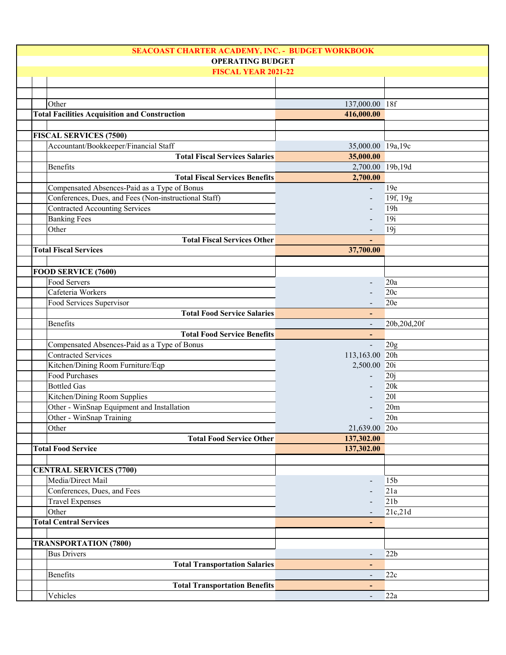| SEACOAST CHARTER ACADEMY, INC. - BUDGET WORKBOOK |                                                       |                          |                 |
|--------------------------------------------------|-------------------------------------------------------|--------------------------|-----------------|
|                                                  | <b>OPERATING BUDGET</b>                               |                          |                 |
|                                                  | <b>FISCAL YEAR 2021-22</b>                            |                          |                 |
|                                                  |                                                       |                          |                 |
|                                                  |                                                       |                          |                 |
|                                                  | Other                                                 | 137,000.00 18f           |                 |
|                                                  | <b>Total Facilities Acquisition and Construction</b>  | 416,000.00               |                 |
|                                                  |                                                       |                          |                 |
|                                                  | <b>FISCAL SERVICES (7500)</b>                         |                          |                 |
|                                                  | Accountant/Bookkeeper/Financial Staff                 | 35,000.00 19a,19c        |                 |
|                                                  | <b>Total Fiscal Services Salaries</b>                 | 35,000.00                |                 |
|                                                  | Benefits                                              | 2,700.00 19b,19d         |                 |
|                                                  | <b>Total Fiscal Services Benefits</b>                 | 2,700.00                 |                 |
|                                                  | Compensated Absences-Paid as a Type of Bonus          |                          | 19e             |
|                                                  | Conferences, Dues, and Fees (Non-instructional Staff) |                          | 19f, 19g        |
|                                                  | <b>Contracted Accounting Services</b>                 |                          | 19h             |
|                                                  | <b>Banking Fees</b>                                   |                          | 19i             |
|                                                  | Other                                                 |                          | 19j             |
|                                                  | <b>Total Fiscal Services Other</b>                    |                          |                 |
|                                                  | <b>Total Fiscal Services</b>                          | 37,700.00                |                 |
|                                                  |                                                       |                          |                 |
|                                                  | FOOD SERVICE (7600)                                   |                          |                 |
|                                                  | Food Servers                                          |                          | 20a             |
|                                                  | Cafeteria Workers                                     |                          | 20c             |
|                                                  | Food Services Supervisor                              |                          | 20e             |
|                                                  | <b>Total Food Service Salaries</b>                    |                          |                 |
|                                                  | Benefits                                              | ٠                        | 20b,20d,20f     |
|                                                  |                                                       |                          |                 |
|                                                  | <b>Total Food Service Benefits</b>                    | $\blacksquare$           |                 |
|                                                  | Compensated Absences-Paid as a Type of Bonus          |                          | 20g             |
|                                                  | <b>Contracted Services</b>                            | 113,163.00 20h           |                 |
|                                                  | Kitchen/Dining Room Furniture/Eqp                     | 2,500.00 20i             |                 |
|                                                  | <b>Food Purchases</b>                                 |                          | 20j             |
|                                                  | <b>Bottled Gas</b>                                    |                          | 20k             |
|                                                  | Kitchen/Dining Room Supplies                          |                          | 201             |
|                                                  | Other - WinSnap Equipment and Installation            |                          | 20 <sub>m</sub> |
|                                                  | Other - WinSnap Training                              | $\overline{\phantom{a}}$ | 20n             |
|                                                  | Other                                                 | 21,639.00 20o            |                 |
|                                                  | <b>Total Food Service Other</b>                       | 137,302.00               |                 |
|                                                  | <b>Total Food Service</b>                             | 137,302.00               |                 |
|                                                  |                                                       |                          |                 |
|                                                  | <b>CENTRAL SERVICES (7700)</b>                        |                          |                 |
|                                                  | Media/Direct Mail                                     |                          | 15 <sub>b</sub> |
|                                                  | Conferences, Dues, and Fees                           |                          | 21a             |
|                                                  | <b>Travel Expenses</b>                                |                          | 21 <sub>b</sub> |
|                                                  | Other                                                 |                          | 21c,21d         |
|                                                  | <b>Total Central Services</b>                         |                          |                 |
|                                                  |                                                       |                          |                 |
|                                                  | <b>TRANSPORTATION (7800)</b>                          |                          |                 |
|                                                  | <b>Bus Drivers</b>                                    | $\overline{\phantom{a}}$ | 22b             |
|                                                  | <b>Total Transportation Salaries</b>                  | ٠                        |                 |
|                                                  | Benefits                                              | $\overline{\phantom{a}}$ | 22c             |
|                                                  | <b>Total Transportation Benefits</b>                  | $\blacksquare$           |                 |
|                                                  | Vehicles                                              | $\overline{\phantom{a}}$ | 22a             |
|                                                  |                                                       |                          |                 |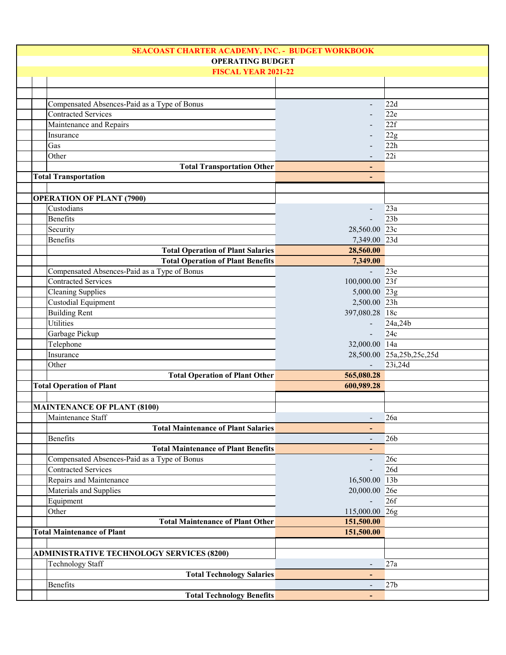| SEACOAST CHARTER ACADEMY, INC. - BUDGET WORKBOOK |                          |                           |
|--------------------------------------------------|--------------------------|---------------------------|
| <b>OPERATING BUDGET</b>                          |                          |                           |
| <b>FISCAL YEAR 2021-22</b>                       |                          |                           |
|                                                  |                          |                           |
|                                                  |                          |                           |
| Compensated Absences-Paid as a Type of Bonus     | $\blacksquare$           | 22d                       |
| <b>Contracted Services</b>                       |                          | 22e                       |
| Maintenance and Repairs                          |                          | 22f                       |
| Insurance                                        |                          | 22g                       |
| Gas                                              |                          | 22h                       |
| Other                                            |                          | 22i                       |
| <b>Total Transportation Other</b>                |                          |                           |
| <b>Total Transportation</b>                      |                          |                           |
|                                                  |                          |                           |
| <b>OPERATION OF PLANT (7900)</b>                 |                          |                           |
| Custodians                                       |                          | 23a                       |
| Benefits                                         | $\blacksquare$           | 23 <sub>b</sub>           |
| Security                                         | 28,560.00 23c            |                           |
| Benefits                                         | 7,349.00 23d             |                           |
| <b>Total Operation of Plant Salaries</b>         | 28,560.00                |                           |
| <b>Total Operation of Plant Benefits</b>         | 7,349.00                 |                           |
| Compensated Absences-Paid as a Type of Bonus     | $\mathbf{r}$             | 23e                       |
| <b>Contracted Services</b>                       | 100,000.00 23f           |                           |
|                                                  |                          |                           |
| <b>Cleaning Supplies</b>                         | 5,000.00 23g             |                           |
| Custodial Equipment                              | 2,500.00 23h             |                           |
| <b>Building Rent</b>                             | 397,080.28 18c           |                           |
| Utilities                                        | $\blacksquare$           | 24a,24b                   |
| Garbage Pickup                                   | $\mathbf{r}$             | 24c                       |
| Telephone                                        | 32,000.00 14a            |                           |
| Insurance                                        |                          | 28,500.00 25a,25b,25c,25d |
| Other                                            | $\Delta \sim 10^4$       | 23i,24d                   |
| <b>Total Operation of Plant Other</b>            | 565,080.28               |                           |
| <b>Total Operation of Plant</b>                  | 600,989.28               |                           |
|                                                  |                          |                           |
| <b>MAINTENANCE OF PLANT (8100)</b>               |                          |                           |
| Maintenance Staff                                |                          | 26a                       |
| <b>Total Maintenance of Plant Salaries</b>       |                          |                           |
| Benefits                                         |                          | 26 <sub>b</sub>           |
| <b>Total Maintenance of Plant Benefits</b>       | $\overline{\phantom{0}}$ |                           |
| Compensated Absences-Paid as a Type of Bonus     | $\overline{\phantom{a}}$ | 26c                       |
| <b>Contracted Services</b>                       |                          | 26d                       |
| Repairs and Maintenance                          | 16,500.00 13b            |                           |
| Materials and Supplies                           | 20,000.00 26e            |                           |
| Equipment                                        |                          | 26f                       |
| Other                                            | 115,000.00 26g           |                           |
| <b>Total Maintenance of Plant Other</b>          | 151,500.00               |                           |
| <b>Total Maintenance of Plant</b>                | 151,500.00               |                           |
|                                                  |                          |                           |
| <b>ADMINISTRATIVE TECHNOLOGY SERVICES (8200)</b> |                          |                           |
| <b>Technology Staff</b>                          |                          | 27a                       |
| <b>Total Technology Salaries</b>                 | ٠                        |                           |
| Benefits                                         | $\overline{\phantom{a}}$ | 27 <sub>b</sub>           |
| <b>Total Technology Benefits</b>                 | ٠                        |                           |
|                                                  |                          |                           |